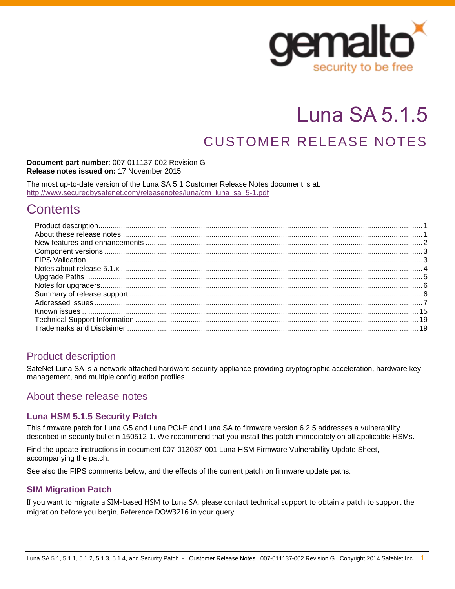

# Luna SA 5.1.5

## CUSTOMER RELEASE NOTES

**Document part number**: 007-011137-002 Revision G **Release notes issued on:** 17 November 2015

The most up-to-date version of the Luna SA 5.1 Customer Release Notes document is at: http://www.securedbysafenet.com/releasenotes/luna/crn\_luna\_sa\_5-1.pdf

## **Contents**

#### <span id="page-0-0"></span>Product description

SafeNet Luna SA is a network-attached hardware security appliance providing cryptographic acceleration, hardware key management, and multiple configuration profiles.

#### <span id="page-0-1"></span>About these release notes

#### **Luna HSM 5.1.5 Security Patch**

This firmware patch for Luna G5 and Luna PCI-E and Luna SA to firmware version 6.2.5 addresses a vulnerability described in security bulletin 150512-1. We recommend that you install this patch immediately on all applicable HSMs.

Find the update instructions in document 007-013037-001 Luna HSM Firmware Vulnerability Update Sheet, accompanying the patch.

See also the FIPS comments below, and the effects of the current patch on firmware update paths.

#### **SIM Migration Patch**

If you want to migrate a SIM-based HSM to Luna SA, please contact technical support to obtain a patch to support the migration before you begin. Reference DOW3216 in your query.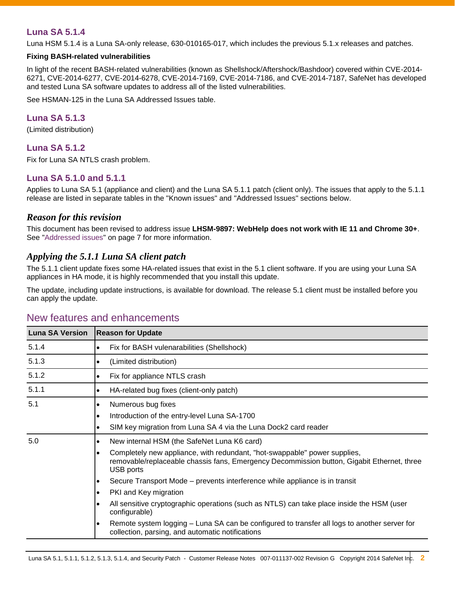#### **Luna SA 5.1.4**

Luna HSM 5.1.4 is a Luna SA-only release, 630-010165-017, which includes the previous 5.1.x releases and patches.

#### **Fixing BASH-related vulnerabilities**

In light of the recent BASH-related vulnerabilities (known as Shellshock/Aftershock/Bashdoor) covered within CVE-2014- 6271, CVE-2014-6277, CVE-2014-6278, CVE-2014-7169, CVE-2014-7186, and CVE-2014-7187, SafeNet has developed and tested Luna SA software updates to address all of the listed vulnerabilities.

See HSMAN-125 in the Luna SA Addressed Issues table.

#### **Luna SA 5.1.3**

(Limited distribution)

#### **Luna SA 5.1.2**

Fix for Luna SA NTLS crash problem.

#### **Luna SA 5.1.0 and 5.1.1**

Applies to Luna SA 5.1 (appliance and client) and the Luna SA 5.1.1 patch (client only). The issues that apply to the 5.1.1 release are listed in separate tables in the "Known issues" and "Addressed Issues" sections below.

#### *Reason for this revision*

This document has been revised to address issue **LHSM-9897: WebHelp does not work with IE 11 and Chrome 30+**. See ["Addressed issues"](#page-6-0) on page [7](#page-6-0) for more information.

#### *Applying the 5.1.1 Luna SA client patch*

The 5.1.1 client update fixes some HA-related issues that exist in the 5.1 client software. If you are using your Luna SA appliances in HA mode, it is highly recommended that you install this update.

The update, including update instructions, is available for download. The release 5.1 client must be installed before you can apply the update.

| <b>Luna SA Version</b> | <b>Reason for Update</b>                                                                                                                                                                                                                              |
|------------------------|-------------------------------------------------------------------------------------------------------------------------------------------------------------------------------------------------------------------------------------------------------|
| 5.1.4                  | Fix for BASH vulenarabilities (Shellshock)<br>$\bullet$                                                                                                                                                                                               |
| 5.1.3                  | (Limited distribution)<br>$\bullet$                                                                                                                                                                                                                   |
| 5.1.2                  | Fix for appliance NTLS crash<br>$\bullet$                                                                                                                                                                                                             |
| 5.1.1                  | HA-related bug fixes (client-only patch)<br>$\bullet$                                                                                                                                                                                                 |
| 5.1                    | Numerous bug fixes<br>$\bullet$<br>Introduction of the entry-level Luna SA-1700<br>$\bullet$<br>SIM key migration from Luna SA 4 via the Luna Dock2 card reader<br>$\bullet$                                                                          |
| 5.0                    | New internal HSM (the SafeNet Luna K6 card)<br>٠<br>Completely new appliance, with redundant, "hot-swappable" power supplies,<br>$\bullet$<br>removable/replaceable chassis fans, Emergency Decommission button, Gigabit Ethernet, three<br>USB ports |
|                        | Secure Transport Mode – prevents interference while appliance is in transit<br>$\bullet$                                                                                                                                                              |
|                        | PKI and Key migration<br>$\bullet$                                                                                                                                                                                                                    |
|                        | All sensitive cryptographic operations (such as NTLS) can take place inside the HSM (user<br>$\bullet$<br>configurable)                                                                                                                               |
|                        | Remote system logging – Luna SA can be configured to transfer all logs to another server for<br>$\bullet$<br>collection, parsing, and automatic notifications                                                                                         |

## <span id="page-1-0"></span>New features and enhancements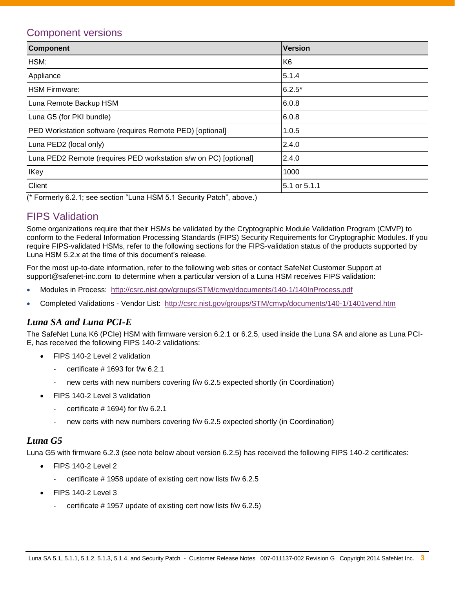## <span id="page-2-0"></span>Component versions

| <b>Component</b>                                                 | <b>Version</b> |
|------------------------------------------------------------------|----------------|
| HSM:                                                             | K <sub>6</sub> |
| Appliance                                                        | 5.1.4          |
| <b>HSM Firmware:</b>                                             | $6.2.5*$       |
| Luna Remote Backup HSM                                           | 6.0.8          |
| Luna G5 (for PKI bundle)                                         | 6.0.8          |
| PED Workstation software (requires Remote PED) [optional]        | 1.0.5          |
| Luna PED2 (local only)                                           | 2.4.0          |
| Luna PED2 Remote (requires PED workstation s/w on PC) [optional] | 2.4.0          |
| <b>IKey</b>                                                      | 1000           |
| Client                                                           | 5.1 or 5.1.1   |

(\* Formerly 6.2.1; see section "Luna HSM 5.1 Security Patch", above.)

## <span id="page-2-1"></span>FIPS Validation

Some organizations require that their HSMs be validated by the Cryptographic Module Validation Program (CMVP) to conform to the Federal Information Processing Standards (FIPS) Security Requirements for Cryptographic Modules. If you require FIPS-validated HSMs, refer to the following sections for the FIPS-validation status of the products supported by Luna HSM 5.2.x at the time of this document's release.

For the most up-to-date information, refer to the following web sites or contact SafeNet Customer Support at [support@safenet-inc.com](mailto:support@safenet-inc.com) to determine when a particular version of a Luna HSM receives FIPS validation:

- Modules in Process: <http://csrc.nist.gov/groups/STM/cmvp/documents/140-1/140InProcess.pdf>
- Completed Validations Vendor List: <http://csrc.nist.gov/groups/STM/cmvp/documents/140-1/1401vend.htm>

#### *Luna SA and Luna PCI-E*

The SafeNet Luna K6 (PCIe) HSM with firmware version 6.2.1 or 6.2.5, used inside the Luna SA and alone as Luna PCI-E, has received the following FIPS 140-2 validations:

- FIPS 140-2 Level 2 validation
	- certificate  $#$  1693 for f/w 6.2.1
	- new certs with new numbers covering f/w 6.2.5 expected shortly (in Coordination)
- FIPS 140-2 Level 3 validation
	- certificate  $# 1694$ ) for  $f/w 6.2.1$
	- new certs with new numbers covering f/w 6.2.5 expected shortly (in Coordination)

#### *Luna G5*

Luna G5 with firmware 6.2.3 (see note below about version 6.2.5) has received the following FIPS 140-2 certificates:

- FIPS 140-2 Level 2
	- certificate # 1958 update of existing cert now lists f/w 6.2.5
- FIPS 140-2 Level 3
	- certificate  $#$  1957 update of existing cert now lists f/w 6.2.5)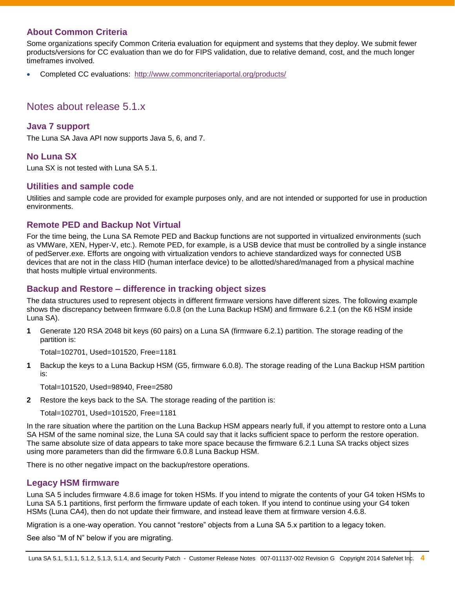#### **About Common Criteria**

Some organizations specify Common Criteria evaluation for equipment and systems that they deploy. We submit fewer products/versions for CC evaluation than we do for FIPS validation, due to relative demand, cost, and the much longer timeframes involved.

Completed CC evaluations: <http://www.commoncriteriaportal.org/products/>

## <span id="page-3-0"></span>Notes about release 5.1.x

#### **Java 7 support**

The Luna SA Java API now supports Java 5, 6, and 7.

#### **No Luna SX**

Luna SX is not tested with Luna SA 5.1.

#### **Utilities and sample code**

Utilities and sample code are provided for example purposes only, and are not intended or supported for use in production environments.

#### **Remote PED and Backup Not Virtual**

For the time being, the Luna SA Remote PED and Backup functions are not supported in virtualized environments (such as VMWare, XEN, Hyper-V, etc.). Remote PED, for example, is a USB device that must be controlled by a single instance of pedServer.exe. Efforts are ongoing with virtualization vendors to achieve standardized ways for connected USB devices that are not in the class HID (human interface device) to be allotted/shared/managed from a physical machine that hosts multiple virtual environments.

#### **Backup and Restore – difference in tracking object sizes**

The data structures used to represent objects in different firmware versions have different sizes. The following example shows the discrepancy between firmware 6.0.8 (on the Luna Backup HSM) and firmware 6.2.1 (on the K6 HSM inside Luna SA).

**1** Generate 120 RSA 2048 bit keys (60 pairs) on a Luna SA (firmware 6.2.1) partition. The storage reading of the partition is:

Total=102701, Used=101520, Free=1181

**1** Backup the keys to a Luna Backup HSM (G5, firmware 6.0.8). The storage reading of the Luna Backup HSM partition is:

Total=101520, Used=98940, Free=2580

**2** Restore the keys back to the SA. The storage reading of the partition is:

Total=102701, Used=101520, Free=1181

In the rare situation where the partition on the Luna Backup HSM appears nearly full, if you attempt to restore onto a Luna SA HSM of the same nominal size, the Luna SA could say that it lacks sufficient space to perform the restore operation. The same absolute size of data appears to take more space because the firmware 6.2.1 Luna SA tracks object sizes using more parameters than did the firmware 6.0.8 Luna Backup HSM.

There is no other negative impact on the backup/restore operations.

#### **Legacy HSM firmware**

Luna SA 5 includes firmware 4.8.6 image for token HSMs. If you intend to migrate the contents of your G4 token HSMs to Luna SA 5.1 partitions, first perform the firmware update of each token. If you intend to continue using your G4 token HSMs (Luna CA4), then do not update their firmware, and instead leave them at firmware version 4.6.8.

Migration is a one-way operation. You cannot "restore" objects from a Luna SA 5.x partition to a legacy token.

See also "M of N" below if you are migrating.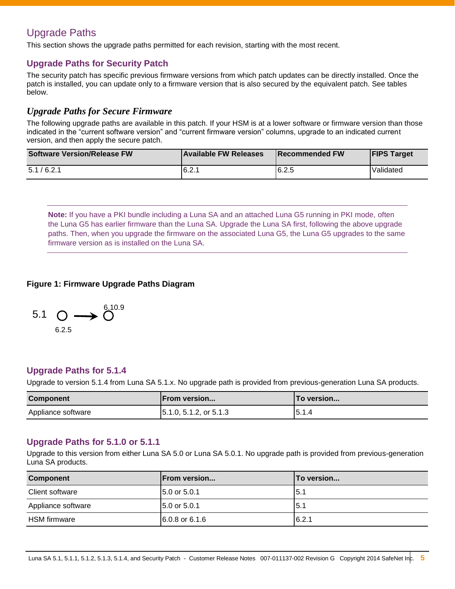## <span id="page-4-0"></span>Upgrade Paths

This section shows the upgrade paths permitted for each revision, starting with the most recent.

#### **Upgrade Paths for Security Patch**

The security patch has specific previous firmware versions from which patch updates can be directly installed. Once the patch is installed, you can update only to a firmware version that is also secured by the equivalent patch. See tables below.

#### *Upgrade Paths for Secure Firmware*

The following upgrade paths are available in this patch. If your HSM is at a lower software or firmware version than those indicated in the "current software version" and "current firmware version" columns, upgrade to an indicated current version, and then apply the secure patch.

| <b>Software Version/Release FW</b> | Available FW Releases | <b>IRecommended FW</b> | <b>FIPS Target</b> |
|------------------------------------|-----------------------|------------------------|--------------------|
| 5.1/6.2.1                          | 6.2.1                 | 6.2.5                  | Validated          |

**Note:** If you have a PKI bundle including a Luna SA and an attached Luna G5 running in PKI mode, often the Luna G5 has earlier firmware than the Luna SA. Upgrade the Luna SA first, following the above upgrade paths. Then, when you upgrade the firmware on the associated Luna G5, the Luna G5 upgrades to the same firmware version as is installed on the Luna SA.

#### **Figure 1: Firmware Upgrade Paths Diagram**

5.1 O 
$$
\longrightarrow
$$
 O<sup>6.10.9</sup>  
6.2.5

#### **Upgrade Paths for 5.1.4**

Upgrade to version 5.1.4 from Luna SA 5.1.x. No upgrade path is provided from previous-generation Luna SA products.

| <b>Component</b>   | <b>IFrom version</b>                          | <b>'To version</b> |
|--------------------|-----------------------------------------------|--------------------|
| Appliance software | $\vert 5.1.0, 5.1.2, \text{ or } 5.1.3 \vert$ | 5.1.4              |

#### **Upgrade Paths for 5.1.0 or 5.1.1**

Upgrade to this version from either Luna SA 5.0 or Luna SA 5.0.1. No upgrade path is provided from previous-generation Luna SA products.

| <b>Component</b>   | <b>IFrom version</b> | To version |
|--------------------|----------------------|------------|
| Client software    | 5.0 or 5.0.1         | I5.1       |
| Appliance software | 5.0 or 5.0.1         | 15.1       |
| HSM firmware       | 6.0.8 or 6.1.6       | 6.2.1      |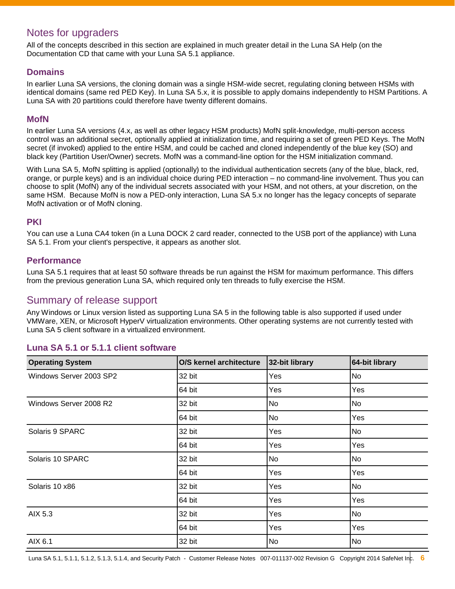## <span id="page-5-0"></span>Notes for upgraders

All of the concepts described in this section are explained in much greater detail in the Luna SA Help (on the Documentation CD that came with your Luna SA 5.1 appliance.

#### **Domains**

In earlier Luna SA versions, the cloning domain was a single HSM-wide secret, regulating cloning between HSMs with identical domains (same red PED Key). In Luna SA 5.x, it is possible to apply domains independently to HSM Partitions. A Luna SA with 20 partitions could therefore have twenty different domains.

#### **MofN**

In earlier Luna SA versions (4.x, as well as other legacy HSM products) MofN split-knowledge, multi-person access control was an additional secret, optionally applied at initialization time, and requiring a set of green PED Keys. The MofN secret (if invoked) applied to the entire HSM, and could be cached and cloned independently of the blue key (SO) and black key (Partition User/Owner) secrets. MofN was a command-line option for the HSM initialization command.

With Luna SA 5, MofN splitting is applied (optionally) to the individual authentication secrets (any of the blue, black, red, orange, or purple keys) and is an individual choice during PED interaction – no command-line involvement. Thus you can choose to split (MofN) any of the individual secrets associated with your HSM, and not others, at your discretion, on the same HSM. Because MofN is now a PED-only interaction, Luna SA 5.x no longer has the legacy concepts of separate MofN activation or of MofN cloning.

#### **PKI**

You can use a Luna CA4 token (in a Luna DOCK 2 card reader, connected to the USB port of the appliance) with Luna SA 5.1. From your client's perspective, it appears as another slot.

#### **Performance**

Luna SA 5.1 requires that at least 50 software threads be run against the HSM for maximum performance. This differs from the previous generation Luna SA, which required only ten threads to fully exercise the HSM.

#### <span id="page-5-1"></span>Summary of release support

Any Windows or Linux version listed as supporting Luna SA 5 in the following table is also supported if used under VMWare, XEN, or Microsoft HyperV virtualization environments. Other operating systems are not currently tested with Luna SA 5 client software in a virtualized environment.

| <b>Operating System</b> | O/S kernel architecture | 32-bit library | 64-bit library |
|-------------------------|-------------------------|----------------|----------------|
| Windows Server 2003 SP2 | 32 bit                  | Yes            | No             |
|                         | 64 bit                  | Yes            | Yes            |
| Windows Server 2008 R2  | 32 bit                  | No             | No             |
|                         | 64 bit                  | <b>No</b>      | Yes            |
| Solaris 9 SPARC         | 32 bit                  | Yes            | No             |
|                         | 64 bit                  | Yes            | Yes            |
| Solaris 10 SPARC        | 32 bit                  | No             | No             |
|                         | 64 bit                  | Yes            | Yes            |
| Solaris 10 x86          | 32 bit                  | Yes            | No             |
|                         | 64 bit                  | Yes            | Yes            |
| AIX 5.3                 | 32 bit                  | Yes            | No             |
|                         | 64 bit                  | Yes            | Yes            |
| AIX 6.1                 | 32 bit                  | <b>No</b>      | No             |

#### **Luna SA 5.1 or 5.1.1 client software**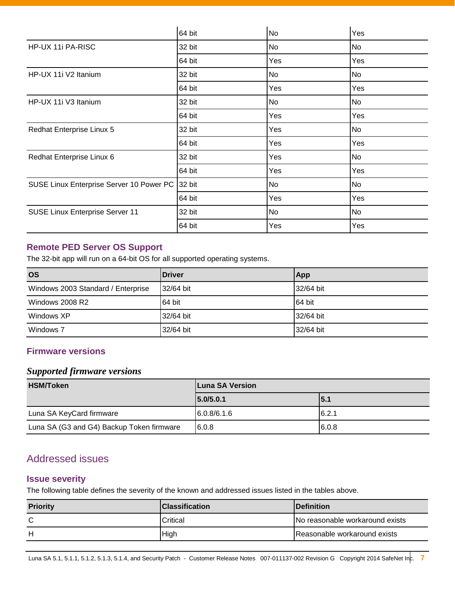|                                          | 64 bit | No  | Yes |
|------------------------------------------|--------|-----|-----|
| HP-UX 11i PA-RISC                        | 32 bit | No  | No  |
|                                          | 64 bit | Yes | Yes |
| HP-UX 11i V2 Itanium                     | 32 bit | No  | No  |
|                                          | 64 bit | Yes | Yes |
| HP-UX 11i V3 Itanium                     | 32 bit | No  | No  |
|                                          | 64 bit | Yes | Yes |
| Redhat Enterprise Linux 5                | 32 bit | Yes | No  |
|                                          | 64 bit | Yes | Yes |
| Redhat Enterprise Linux 6                | 32 bit | Yes | No  |
|                                          | 64 bit | Yes | Yes |
| SUSE Linux Enterprise Server 10 Power PC | 32 bit | No  | No  |
|                                          | 64 bit | Yes | Yes |
| SUSE Linux Enterprise Server 11          | 32 bit | No  | No  |
|                                          | 64 bit | Yes | Yes |

#### **Remote PED Server OS Support**

The 32-bit app will run on a 64-bit OS for all supported operating systems.

| <b>OS</b>                          | Driver    | <b>App</b> |
|------------------------------------|-----------|------------|
| Windows 2003 Standard / Enterprise | 32/64 bit | 32/64 bit  |
| Windows 2008 R2                    | 64 bit    | 64 bit     |
| Windows XP                         | 32/64 bit | 32/64 bit  |
| Windows 7                          | 32/64 bit | 32/64 bit  |

#### **Firmware versions**

#### *Supported firmware versions*

| <b>HSM/Token</b>                          | Luna SA Version |       |
|-------------------------------------------|-----------------|-------|
|                                           | 5.0/5.0.1       | I5.1  |
| Luna SA KeyCard firmware                  | 6.0.8/6.1.6     | 6.2.1 |
| Luna SA (G3 and G4) Backup Token firmware | 6.0.8           | 6.0.8 |

## <span id="page-6-0"></span>Addressed issues

#### <span id="page-6-1"></span>**Issue severity**

The following table defines the severity of the known and addressed issues listed in the tables above.

| <b>Priority</b> | <b>Classification</b> | <b>IDefinition</b>               |
|-----------------|-----------------------|----------------------------------|
|                 | <b>Critical</b>       | INo reasonable workaround exists |
| н               | High                  | Reasonable workaround exists     |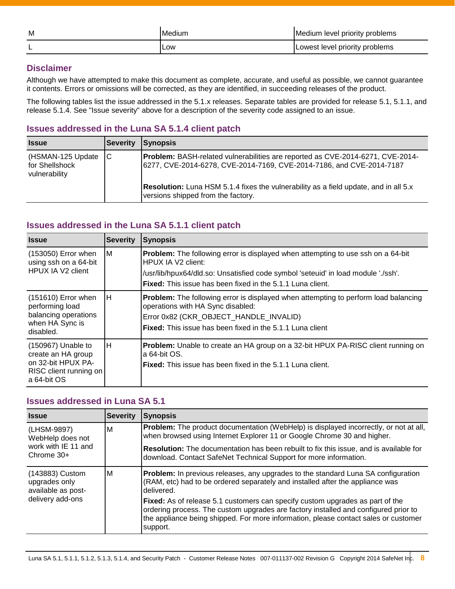| M | <b>Medium</b> | Medium level priority problems |
|---|---------------|--------------------------------|
|   | Low           | Lowest level priority problems |

#### **Disclaimer**

Although we have attempted to make this document as complete, accurate, and useful as possible, we cannot guarantee it contents. Errors or omissions will be corrected, as they are identified, in succeeding releases of the product.

The following tables list the issue addressed in the 5.1.x releases. Separate tables are provided for release 5.1, 5.1.1, and release 5.1.4. See ["Issue severity"](#page-6-1) above for a description of the severity code assigned to an issue.

#### **Issues addressed in the Luna SA 5.1.4 client patch**

| <b>Issue</b>                                         | <b>Severity</b> | <b>Synopsis</b>                                                                                                                                               |
|------------------------------------------------------|-----------------|---------------------------------------------------------------------------------------------------------------------------------------------------------------|
| (HSMAN-125 Update<br>for Shellshock<br>vulnerability |                 | <b>Problem:</b> BASH-related vulnerabilities are reported as CVE-2014-6271, CVE-2014-<br>6277, CVE-2014-6278, CVE-2014-7169, CVE-2014-7186, and CVE-2014-7187 |
|                                                      |                 | <b>Resolution:</b> Luna HSM 5.1.4 fixes the vulnerability as a field update, and in all 5.x<br>versions shipped from the factory.                             |

#### **Issues addressed in the Luna SA 5.1.1 client patch**

| <b>Issue</b>                                                                                            | <b>Severity</b> | <b>Synopsis</b>                                                                                                                                                                                                                                                         |
|---------------------------------------------------------------------------------------------------------|-----------------|-------------------------------------------------------------------------------------------------------------------------------------------------------------------------------------------------------------------------------------------------------------------------|
| (153050) Error when<br>using ssh on a 64-bit<br>HPUX IA V2 client                                       | ΙM              | <b>Problem:</b> The following error is displayed when attempting to use ssh on a 64-bit<br>HPUX IA V2 client:<br>/usr/lib/hpux64/dld.so: Unsatisfied code symbol 'seteuid' in load module './ssh'.<br><b>Fixed:</b> This issue has been fixed in the 5.1.1 Luna client. |
| (151610) Error when<br>performing load<br>balancing operations<br>when HA Sync is<br>disabled.          | lΗ              | Problem: The following error is displayed when attempting to perform load balancing<br>operations with HA Sync disabled:<br>Error 0x82 (CKR_OBJECT_HANDLE_INVALID)<br><b>Fixed:</b> This issue has been fixed in the 5.1.1 Luna client                                  |
| (150967) Unable to<br>create an HA group<br>on 32-bit HPUX PA-<br>RISC client running on<br>a 64-bit OS | Iн              | <b>Problem:</b> Unable to create an HA group on a 32-bit HPUX PA-RISC client running on<br>a 64-bit OS.<br><b>Fixed:</b> This issue has been fixed in the 5.1.1 Luna client.                                                                                            |

#### **Issues addressed in Luna SA 5.1**

| <b>Issue</b>                                                               | <b>Severity</b> | <b>Synopsis</b>                                                                                                                                                                                                                                                                |
|----------------------------------------------------------------------------|-----------------|--------------------------------------------------------------------------------------------------------------------------------------------------------------------------------------------------------------------------------------------------------------------------------|
| (LHSM-9897)<br>WebHelp does not<br>work with IE 11 and<br>Chrome $30+$     | M               | Problem: The product documentation (WebHelp) is displayed incorrectly, or not at all,<br>when browsed using Internet Explorer 11 or Google Chrome 30 and higher.                                                                                                               |
|                                                                            |                 | <b>Resolution:</b> The documentation has been rebuilt to fix this issue, and is available for<br>download. Contact SafeNet Technical Support for more information.                                                                                                             |
| (143883) Custom<br>upgrades only<br>available as post-<br>delivery add-ons | M               | <b>Problem:</b> In previous releases, any upgrades to the standard Luna SA configuration<br>(RAM, etc) had to be ordered separately and installed after the appliance was<br>delivered.                                                                                        |
|                                                                            |                 | <b>Fixed:</b> As of release 5.1 customers can specify custom upgrades as part of the<br>ordering process. The custom upgrades are factory installed and configured prior to<br>the appliance being shipped. For more information, please contact sales or customer<br>support. |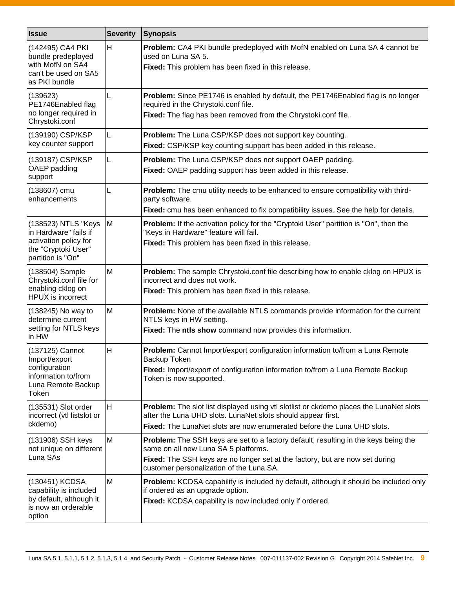| <b>Issue</b>                                                                                                      | <b>Severity</b> | <b>Synopsis</b>                                                                                                                                                                                                                                         |
|-------------------------------------------------------------------------------------------------------------------|-----------------|---------------------------------------------------------------------------------------------------------------------------------------------------------------------------------------------------------------------------------------------------------|
| (142495) CA4 PKI<br>bundle predeployed<br>with MofN on SA4<br>can't be used on SA5<br>as PKI bundle               | H               | Problem: CA4 PKI bundle predeployed with MofN enabled on Luna SA 4 cannot be<br>used on Luna SA 5.<br>Fixed: This problem has been fixed in this release.                                                                                               |
| (139623)<br>PE1746Enabled flag<br>no longer required in<br>Chrystoki.conf                                         |                 | Problem: Since PE1746 is enabled by default, the PE1746Enabled flag is no longer<br>required in the Chrystoki.conf file.<br>Fixed: The flag has been removed from the Chrystoki.conf file.                                                              |
| (139190) CSP/KSP<br>key counter support                                                                           | L               | Problem: The Luna CSP/KSP does not support key counting.<br>Fixed: CSP/KSP key counting support has been added in this release.                                                                                                                         |
| (139187) CSP/KSP<br>OAEP padding<br>support                                                                       | L               | Problem: The Luna CSP/KSP does not support OAEP padding.<br>Fixed: OAEP padding support has been added in this release.                                                                                                                                 |
| (138607) cmu<br>enhancements                                                                                      |                 | Problem: The cmu utility needs to be enhanced to ensure compatibility with third-<br>party software.<br>Fixed: cmu has been enhanced to fix compatibility issues. See the help for details.                                                             |
| (138523) NTLS "Keys<br>in Hardware" fails if<br>activation policy for<br>the "Cryptoki User"<br>partition is "On" | M               | Problem: If the activation policy for the "Cryptoki User" partition is "On", then the<br>"Keys in Hardware" feature will fail.<br>Fixed: This problem has been fixed in this release.                                                                   |
| (138504) Sample<br>Chrystoki.conf file for<br>enabling cklog on<br>HPUX is incorrect                              | M               | Problem: The sample Chrystoki.conf file describing how to enable cklog on HPUX is<br>incorrect and does not work.<br>Fixed: This problem has been fixed in this release.                                                                                |
| (138245) No way to<br>determine current<br>setting for NTLS keys<br>in HW                                         | M               | Problem: None of the available NTLS commands provide information for the current<br>NTLS keys in HW setting.<br>Fixed: The ntls show command now provides this information.                                                                             |
| (137125) Cannot<br>Import/export<br>configuration<br>information to/from<br>Luna Remote Backup<br>Token           | H               | Problem: Cannot Import/export configuration information to/from a Luna Remote<br>Backup Token<br>Fixed: Import/export of configuration information to/from a Luna Remote Backup<br>Token is now supported.                                              |
| (135531) Slot order<br>incorrect (vtl listslot or<br>ckdemo)                                                      | H               | Problem: The slot list displayed using vtl slotlist or ckdemo places the LunaNet slots<br>after the Luna UHD slots. LunaNet slots should appear first.<br>Fixed: The LunaNet slots are now enumerated before the Luna UHD slots.                        |
| (131906) SSH keys<br>not unique on different<br>Luna SAs                                                          | M               | Problem: The SSH keys are set to a factory default, resulting in the keys being the<br>same on all new Luna SA 5 platforms.<br>Fixed: The SSH keys are no longer set at the factory, but are now set during<br>customer personalization of the Luna SA. |
| (130451) KCDSA<br>capability is included<br>by default, although it<br>is now an orderable<br>option              | M               | Problem: KCDSA capability is included by default, although it should be included only<br>if ordered as an upgrade option.<br>Fixed: KCDSA capability is now included only if ordered.                                                                   |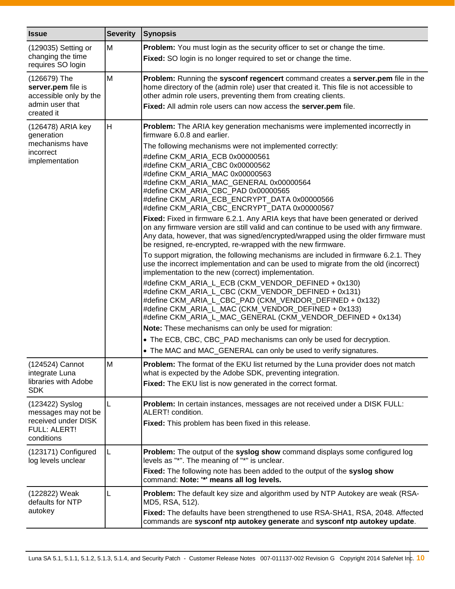| <b>Issue</b>                                                                                       | <b>Severity</b> | Synopsis                                                                                                                                                                                                                                                                                                                                                                                                                                                                                                                                                                                                                                                                                                                                                                                                                                                                                                                                                                                                                                                                                                                                                                                                                                                                                                                                                                                                                                                                                                                                         |
|----------------------------------------------------------------------------------------------------|-----------------|--------------------------------------------------------------------------------------------------------------------------------------------------------------------------------------------------------------------------------------------------------------------------------------------------------------------------------------------------------------------------------------------------------------------------------------------------------------------------------------------------------------------------------------------------------------------------------------------------------------------------------------------------------------------------------------------------------------------------------------------------------------------------------------------------------------------------------------------------------------------------------------------------------------------------------------------------------------------------------------------------------------------------------------------------------------------------------------------------------------------------------------------------------------------------------------------------------------------------------------------------------------------------------------------------------------------------------------------------------------------------------------------------------------------------------------------------------------------------------------------------------------------------------------------------|
| (129035) Setting or<br>changing the time<br>requires SO login                                      | M               | Problem: You must login as the security officer to set or change the time.                                                                                                                                                                                                                                                                                                                                                                                                                                                                                                                                                                                                                                                                                                                                                                                                                                                                                                                                                                                                                                                                                                                                                                                                                                                                                                                                                                                                                                                                       |
|                                                                                                    |                 | Fixed: SO login is no longer required to set or change the time.                                                                                                                                                                                                                                                                                                                                                                                                                                                                                                                                                                                                                                                                                                                                                                                                                                                                                                                                                                                                                                                                                                                                                                                                                                                                                                                                                                                                                                                                                 |
| (126679) The<br>server.pem file is<br>accessible only by the<br>admin user that<br>created it      | M               | <b>Problem:</b> Running the sysconf regencert command creates a server.pem file in the<br>home directory of the (admin role) user that created it. This file is not accessible to<br>other admin role users, preventing them from creating clients.<br>Fixed: All admin role users can now access the server.pem file.                                                                                                                                                                                                                                                                                                                                                                                                                                                                                                                                                                                                                                                                                                                                                                                                                                                                                                                                                                                                                                                                                                                                                                                                                           |
| (126478) ARIA key<br>generation<br>mechanisms have<br>incorrect<br>implementation                  | H               | Problem: The ARIA key generation mechanisms were implemented incorrectly in<br>firmware 6.0.8 and earlier.<br>The following mechanisms were not implemented correctly:<br>#define CKM_ARIA_ECB 0x00000561<br>#define CKM_ARIA_CBC 0x00000562<br>#define CKM_ARIA_MAC 0x00000563<br>#define CKM_ARIA_MAC_GENERAL 0x00000564<br>#define CKM_ARIA_CBC_PAD 0x00000565<br>#define CKM ARIA ECB ENCRYPT DATA 0x00000566<br>#define CKM_ARIA_CBC_ENCRYPT_DATA 0x00000567<br>Fixed: Fixed in firmware 6.2.1. Any ARIA keys that have been generated or derived<br>on any firmware version are still valid and can continue to be used with any firmware.<br>Any data, however, that was signed/encrypted/wrapped using the older firmware must<br>be resigned, re-encrypted, re-wrapped with the new firmware.<br>To support migration, the following mechanisms are included in firmware 6.2.1. They<br>use the incorrect implementation and can be used to migrate from the old (incorrect)<br>implementation to the new (correct) implementation.<br>#define CKM_ARIA_L_ECB (CKM_VENDOR_DEFINED + 0x130)<br>#define CKM_ARIA_L_CBC (CKM_VENDOR_DEFINED + 0x131)<br>#define CKM_ARIA_L_CBC_PAD (CKM_VENDOR_DEFINED + 0x132)<br>#define CKM_ARIA_L_MAC (CKM_VENDOR_DEFINED + 0x133)<br>#define CKM ARIA L MAC GENERAL (CKM VENDOR DEFINED + 0x134)<br>Note: These mechanisms can only be used for migration:<br>• The ECB, CBC, CBC_PAD mechanisms can only be used for decryption.<br>• The MAC and MAC_GENERAL can only be used to verify signatures. |
| (124524) Cannot                                                                                    | M               | Problem: The format of the EKU list returned by the Luna provider does not match                                                                                                                                                                                                                                                                                                                                                                                                                                                                                                                                                                                                                                                                                                                                                                                                                                                                                                                                                                                                                                                                                                                                                                                                                                                                                                                                                                                                                                                                 |
| integrate Luna                                                                                     |                 | what is expected by the Adobe SDK, preventing integration.                                                                                                                                                                                                                                                                                                                                                                                                                                                                                                                                                                                                                                                                                                                                                                                                                                                                                                                                                                                                                                                                                                                                                                                                                                                                                                                                                                                                                                                                                       |
| libraries with Adobe<br><b>SDK</b>                                                                 |                 | Fixed: The EKU list is now generated in the correct format.                                                                                                                                                                                                                                                                                                                                                                                                                                                                                                                                                                                                                                                                                                                                                                                                                                                                                                                                                                                                                                                                                                                                                                                                                                                                                                                                                                                                                                                                                      |
| (123422) Syslog<br>messages may not be<br>received under DISK<br><b>FULL: ALERT!</b><br>conditions | L               | <b>Problem:</b> In certain instances, messages are not received under a DISK FULL:<br>ALERT! condition.<br>Fixed: This problem has been fixed in this release.                                                                                                                                                                                                                                                                                                                                                                                                                                                                                                                                                                                                                                                                                                                                                                                                                                                                                                                                                                                                                                                                                                                                                                                                                                                                                                                                                                                   |
| (123171) Configured<br>log levels unclear                                                          | L               | Problem: The output of the syslog show command displays some configured log<br>levels as "*". The meaning of "*" is unclear.<br>Fixed: The following note has been added to the output of the syslog show<br>command: Note: '*' means all log levels.                                                                                                                                                                                                                                                                                                                                                                                                                                                                                                                                                                                                                                                                                                                                                                                                                                                                                                                                                                                                                                                                                                                                                                                                                                                                                            |
| (122822) Weak<br>defaults for NTP<br>autokey                                                       |                 | Problem: The default key size and algorithm used by NTP Autokey are weak (RSA-<br>MD5, RSA, 512).<br>Fixed: The defaults have been strengthened to use RSA-SHA1, RSA, 2048. Affected<br>commands are sysconf ntp autokey generate and sysconf ntp autokey update.                                                                                                                                                                                                                                                                                                                                                                                                                                                                                                                                                                                                                                                                                                                                                                                                                                                                                                                                                                                                                                                                                                                                                                                                                                                                                |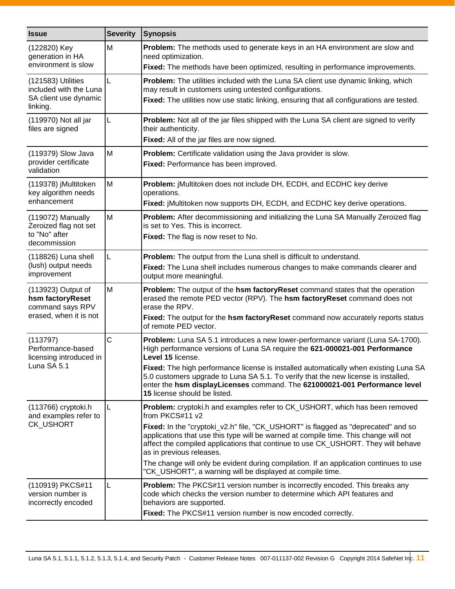| <b>Issue</b>                                                                         | <b>Severity</b> | <b>Synopsis</b>                                                                                                                                                                                                                                                                                 |
|--------------------------------------------------------------------------------------|-----------------|-------------------------------------------------------------------------------------------------------------------------------------------------------------------------------------------------------------------------------------------------------------------------------------------------|
| (122820) Key<br>generation in HA                                                     | M               | Problem: The methods used to generate keys in an HA environment are slow and<br>need optimization.                                                                                                                                                                                              |
| environment is slow                                                                  |                 | Fixed: The methods have been optimized, resulting in performance improvements.                                                                                                                                                                                                                  |
| (121583) Utilities<br>included with the Luna                                         | L               | Problem: The utilities included with the Luna SA client use dynamic linking, which<br>may result in customers using untested configurations.                                                                                                                                                    |
| SA client use dynamic<br>linking.                                                    |                 | Fixed: The utilities now use static linking, ensuring that all configurations are tested.                                                                                                                                                                                                       |
| (119970) Not all jar<br>files are signed                                             | L               | Problem: Not all of the jar files shipped with the Luna SA client are signed to verify<br>their authenticity.                                                                                                                                                                                   |
|                                                                                      |                 | Fixed: All of the jar files are now signed.                                                                                                                                                                                                                                                     |
| (119379) Slow Java<br>provider certificate<br>validation                             | M               | Problem: Certificate validation using the Java provider is slow.<br>Fixed: Performance has been improved.                                                                                                                                                                                       |
| (119378) jMultitoken<br>key algorithm needs                                          | M               | Problem: jMultitoken does not include DH, ECDH, and ECDHC key derive<br>operations.                                                                                                                                                                                                             |
| enhancement                                                                          |                 | Fixed: jMultitoken now supports DH, ECDH, and ECDHC key derive operations.                                                                                                                                                                                                                      |
| (119072) Manually<br>Zeroized flag not set                                           | M               | Problem: After decommissioning and initializing the Luna SA Manually Zeroized flag<br>is set to Yes. This is incorrect.                                                                                                                                                                         |
| to "No" after<br>decommission                                                        |                 | Fixed: The flag is now reset to No.                                                                                                                                                                                                                                                             |
| (118826) Luna shell                                                                  | L               | Problem: The output from the Luna shell is difficult to understand.                                                                                                                                                                                                                             |
| (lush) output needs<br>improvement                                                   |                 | Fixed: The Luna shell includes numerous changes to make commands clearer and<br>output more meaningful.                                                                                                                                                                                         |
| (113923) Output of<br>hsm factoryReset<br>command says RPV<br>erased, when it is not | M               | Problem: The output of the hsm factory Reset command states that the operation<br>erased the remote PED vector (RPV). The hsm factoryReset command does not<br>erase the RPV.                                                                                                                   |
|                                                                                      |                 | Fixed: The output for the hsm factory Reset command now accurately reports status<br>of remote PED vector.                                                                                                                                                                                      |
| (113797)<br>Performance-based<br>licensing introduced in<br>Luna SA 5.1              | Ć               | Problem: Luna SA 5.1 introduces a new lower-performance variant (Luna SA-1700).<br>High performance versions of Luna SA require the 621-000021-001 Performance<br>Level 15 license.                                                                                                             |
|                                                                                      |                 | <b>Fixed:</b> The high performance license is installed automatically when existing Luna SA<br>5.0 customers upgrade to Luna SA 5.1. To verify that the new license is installed,<br>enter the hsm displayLicenses command. The 621000021-001 Performance level<br>15 license should be listed. |
| (113766) cryptoki.h<br>and examples refer to                                         | L               | Problem: cryptoki.h and examples refer to CK_USHORT, which has been removed<br>from PKCS#11 v2                                                                                                                                                                                                  |
| <b>CK_USHORT</b>                                                                     |                 | Fixed: In the "cryptoki_v2.h" file, "CK_USHORT" is flagged as "deprecated" and so<br>applications that use this type will be warned at compile time. This change will not<br>affect the compiled applications that continue to use CK_USHORT. They will behave<br>as in previous releases.      |
|                                                                                      |                 | The change will only be evident during compilation. If an application continues to use<br>"CK_USHORT", a warning will be displayed at compile time.                                                                                                                                             |
| (110919) PKCS#11<br>version number is<br>incorrectly encoded                         | L               | <b>Problem:</b> The PKCS#11 version number is incorrectly encoded. This breaks any<br>code which checks the version number to determine which API features and<br>behaviors are supported.                                                                                                      |
|                                                                                      |                 | Fixed: The PKCS#11 version number is now encoded correctly.                                                                                                                                                                                                                                     |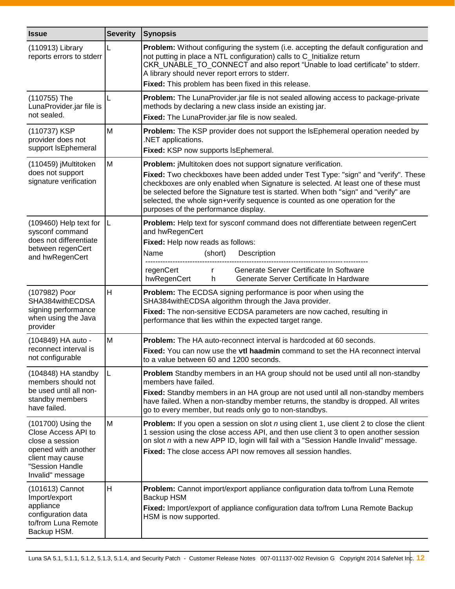| <b>Issue</b>                                                                                                                                   | <b>Severity</b> | <b>Synopsis</b>                                                                                                                                                                                                                                                                                                                                                                                                                                         |
|------------------------------------------------------------------------------------------------------------------------------------------------|-----------------|---------------------------------------------------------------------------------------------------------------------------------------------------------------------------------------------------------------------------------------------------------------------------------------------------------------------------------------------------------------------------------------------------------------------------------------------------------|
| (110913) Library<br>reports errors to stderr                                                                                                   |                 | <b>Problem:</b> Without configuring the system (i.e. accepting the default configuration and<br>not putting in place a NTL configuration) calls to C_Initialize return<br>CKR_UNABLE_TO_CONNECT and also report "Unable to load certificate" to stderr.<br>A library should never report errors to stderr.<br>Fixed: This problem has been fixed in this release.                                                                                       |
| (110755) The<br>LunaProvider.jar file is<br>not sealed.                                                                                        |                 | Problem: The LunaProvider.jar file is not sealed allowing access to package-private<br>methods by declaring a new class inside an existing jar.<br>Fixed: The LunaProvider.jar file is now sealed.                                                                                                                                                                                                                                                      |
| (110737) KSP<br>provider does not<br>support IsEphemeral                                                                                       | M               | Problem: The KSP provider does not support the IsEphemeral operation needed by<br>.NET applications.<br>Fixed: KSP now supports IsEphemeral.                                                                                                                                                                                                                                                                                                            |
| (110459) jMultitoken<br>does not support<br>signature verification                                                                             | M               | Problem: jMultitoken does not support signature verification.<br>Fixed: Two checkboxes have been added under Test Type: "sign" and "verify". These<br>checkboxes are only enabled when Signature is selected. At least one of these must<br>be selected before the Signature test is started. When both "sign" and "verify" are<br>selected, the whole sign+verify sequence is counted as one operation for the<br>purposes of the performance display. |
| (109460) Help text for<br>sysconf command<br>does not differentiate<br>between regenCert<br>and hwRegenCert                                    | L               | Problem: Help text for sysconf command does not differentiate between regenCert<br>and hwRegenCert<br>Fixed: Help now reads as follows:<br>Name<br>(short)<br>Description<br>regenCert<br>Generate Server Certificate In Software<br>$\mathsf{r}$                                                                                                                                                                                                       |
| (107982) Poor<br>SHA384withECDSA<br>signing performance<br>when using the Java<br>provider                                                     | H               | hwRegenCert<br>Generate Server Certificate In Hardware<br>h.<br>Problem: The ECDSA signing performance is poor when using the<br>SHA384 with ECDSA algorithm through the Java provider.<br>Fixed: The non-sensitive ECDSA parameters are now cached, resulting in<br>performance that lies within the expected target range.                                                                                                                            |
| (104849) HA auto -<br>reconnect interval is<br>not configurable                                                                                | M               | <b>Problem:</b> The HA auto-reconnect interval is hardcoded at 60 seconds.<br>Fixed: You can now use the vtl haadmin command to set the HA reconnect interval<br>to a value between 60 and 1200 seconds.                                                                                                                                                                                                                                                |
| (104848) HA standby<br>members should not<br>be used until all non-<br>standby members<br>have failed.                                         | L               | Problem Standby members in an HA group should not be used until all non-standby<br>members have failed.<br>Fixed: Standby members in an HA group are not used until all non-standby members<br>have failed. When a non-standby member returns, the standby is dropped. All writes<br>go to every member, but reads only go to non-standbys.                                                                                                             |
| (101700) Using the<br>Close Access API to<br>close a session<br>opened with another<br>client may cause<br>"Session Handle<br>Invalid" message | M               | <b>Problem:</b> If you open a session on slot n using client 1, use client 2 to close the client<br>1 session using the close access API, and then use client 3 to open another session<br>on slot n with a new APP ID, login will fail with a "Session Handle Invalid" message.<br>Fixed: The close access API now removes all session handles.                                                                                                        |
| (101613) Cannot<br>Import/export<br>appliance<br>configuration data<br>to/from Luna Remote<br>Backup HSM.                                      | H               | Problem: Cannot import/export appliance configuration data to/from Luna Remote<br><b>Backup HSM</b><br>Fixed: Import/export of appliance configuration data to/from Luna Remote Backup<br>HSM is now supported.                                                                                                                                                                                                                                         |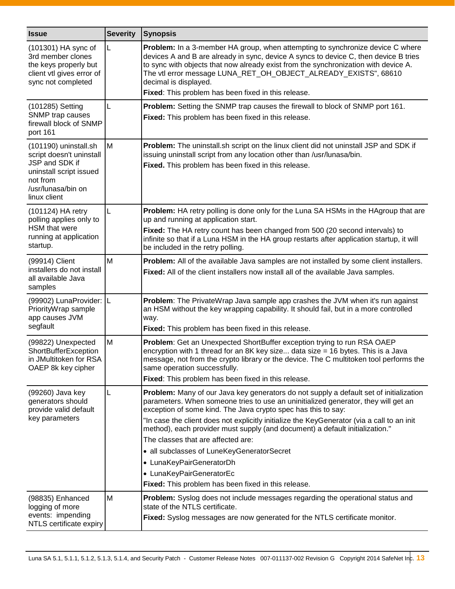| <b>Issue</b>                                                                                                                                     | <b>Severity</b> | <b>Synopsis</b>                                                                                                                                                                                                                                                                                                                                                                                                                                                                                                                                                                                                                       |
|--------------------------------------------------------------------------------------------------------------------------------------------------|-----------------|---------------------------------------------------------------------------------------------------------------------------------------------------------------------------------------------------------------------------------------------------------------------------------------------------------------------------------------------------------------------------------------------------------------------------------------------------------------------------------------------------------------------------------------------------------------------------------------------------------------------------------------|
| (101301) HA sync of<br>3rd member clones<br>the keys properly but<br>client vtl gives error of<br>sync not completed                             | L               | <b>Problem:</b> In a 3-member HA group, when attempting to synchronize device C where<br>devices A and B are already in sync, device A syncs to device C, then device B tries<br>to sync with objects that now already exist from the synchronization with device A.<br>The vtl error message LUNA_RET_OH_OBJECT_ALREADY_EXISTS", 68610<br>decimal is displayed.<br>Fixed: This problem has been fixed in this release.                                                                                                                                                                                                               |
| (101285) Setting<br>SNMP trap causes<br>firewall block of SNMP<br>port 161                                                                       | L               | <b>Problem:</b> Setting the SNMP trap causes the firewall to block of SNMP port 161.<br>Fixed: This problem has been fixed in this release.                                                                                                                                                                                                                                                                                                                                                                                                                                                                                           |
| (101190) uninstall.sh<br>script doesn't uninstall<br>JSP and SDK if<br>uninstall script issued<br>not from<br>/usr/lunasa/bin on<br>linux client | M               | Problem: The uninstall.sh script on the linux client did not uninstall JSP and SDK if<br>issuing uninstall script from any location other than /usr/lunasa/bin.<br>Fixed. This problem has been fixed in this release.                                                                                                                                                                                                                                                                                                                                                                                                                |
| (101124) HA retry<br>polling applies only to<br>HSM that were<br>running at application<br>startup.                                              | L               | <b>Problem:</b> HA retry polling is done only for the Luna SA HSMs in the HAgroup that are<br>up and running at application start.<br>Fixed: The HA retry count has been changed from 500 (20 second intervals) to<br>infinite so that if a Luna HSM in the HA group restarts after application startup, it will<br>be included in the retry polling.                                                                                                                                                                                                                                                                                 |
| (99914) Client<br>installers do not install<br>all available Java<br>samples                                                                     | M               | Problem: All of the available Java samples are not installed by some client installers.<br>Fixed: All of the client installers now install all of the available Java samples.                                                                                                                                                                                                                                                                                                                                                                                                                                                         |
| (99902) LunaProvider: L<br>PriorityWrap sample<br>app causes JVM<br>segfault                                                                     |                 | <b>Problem:</b> The PrivateWrap Java sample app crashes the JVM when it's run against<br>an HSM without the key wrapping capability. It should fail, but in a more controlled<br>way.<br>Fixed: This problem has been fixed in this release.                                                                                                                                                                                                                                                                                                                                                                                          |
| (99822) Unexpected<br>ShortBufferException<br>in JMultitoken for RSA<br>OAEP 8k key cipher                                                       | M               | Problem: Get an Unexpected ShortBuffer exception trying to run RSA OAEP<br>encryption with 1 thread for an 8K key size data size = 16 bytes. This is a Java<br>message, not from the crypto library or the device. The C multitoken tool performs the<br>same operation successfully.<br>Fixed: This problem has been fixed in this release.                                                                                                                                                                                                                                                                                          |
| (99260) Java key<br>generators should<br>provide valid default<br>key parameters                                                                 | L               | <b>Problem:</b> Many of our Java key generators do not supply a default set of initialization<br>parameters. When someone tries to use an uninitialized generator, they will get an<br>exception of some kind. The Java crypto spec has this to say:<br>"In case the client does not explicitly initialize the KeyGenerator (via a call to an init<br>method), each provider must supply (and document) a default initialization."<br>The classes that are affected are:<br>• all subclasses of LuneKeyGeneratorSecret<br>• LunaKeyPairGeneratorDh<br>• LunaKeyPairGeneratorEc<br>Fixed: This problem has been fixed in this release. |
| (98835) Enhanced<br>logging of more<br>events: impending<br>NTLS certificate expiry                                                              | M               | Problem: Syslog does not include messages regarding the operational status and<br>state of the NTLS certificate.<br>Fixed: Syslog messages are now generated for the NTLS certificate monitor.                                                                                                                                                                                                                                                                                                                                                                                                                                        |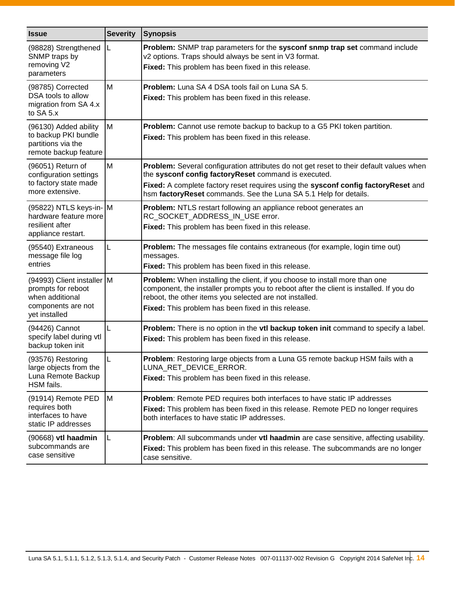| <b>Issue</b>                                                                                               | <b>Severity</b> | <b>Synopsis</b>                                                                                                                                                                                                                                                                                           |
|------------------------------------------------------------------------------------------------------------|-----------------|-----------------------------------------------------------------------------------------------------------------------------------------------------------------------------------------------------------------------------------------------------------------------------------------------------------|
| (98828) Strengthened<br>SNMP traps by<br>removing V2<br>parameters                                         | L               | Problem: SNMP trap parameters for the sysconf snmp trap set command include<br>v2 options. Traps should always be sent in V3 format.<br>Fixed: This problem has been fixed in this release.                                                                                                               |
| (98785) Corrected<br>DSA tools to allow<br>migration from SA 4.x<br>to $SA$ 5. $x$                         | M               | Problem: Luna SA 4 DSA tools fail on Luna SA 5.<br>Fixed: This problem has been fixed in this release.                                                                                                                                                                                                    |
| (96130) Added ability<br>to backup PKI bundle<br>partitions via the<br>remote backup feature               | M               | Problem: Cannot use remote backup to backup to a G5 PKI token partition.<br>Fixed: This problem has been fixed in this release.                                                                                                                                                                           |
| (96051) Return of<br>configuration settings<br>to factory state made<br>more extensive.                    | M               | Problem: Several configuration attributes do not get reset to their default values when<br>the sysconf config factoryReset command is executed.<br>Fixed: A complete factory reset requires using the sysconf config factoryReset and<br>hsm factoryReset commands. See the Luna SA 5.1 Help for details. |
| (95822) NTLS keys-in- M<br>hardware feature more<br>resilient after<br>appliance restart.                  |                 | Problem: NTLS restart following an appliance reboot generates an<br>RC_SOCKET_ADDRESS_IN_USE error.<br>Fixed: This problem has been fixed in this release.                                                                                                                                                |
| (95540) Extraneous<br>message file log<br>entries                                                          | L               | <b>Problem:</b> The messages file contains extraneous (for example, login time out)<br>messages.<br>Fixed: This problem has been fixed in this release.                                                                                                                                                   |
| (94993) Client installer M<br>prompts for reboot<br>when additional<br>components are not<br>yet installed |                 | Problem: When installing the client, if you choose to install more than one<br>component, the installer prompts you to reboot after the client is installed. If you do<br>reboot, the other items you selected are not installed.<br>Fixed: This problem has been fixed in this release.                  |
| (94426) Cannot<br>specify label during vtl<br>backup token init                                            | L               | Problem: There is no option in the vtl backup token init command to specify a label.<br>Fixed: This problem has been fixed in this release.                                                                                                                                                               |
| (93576) Restoring<br>large objects from the<br>Luna Remote Backup<br>HSM fails.                            |                 | Problem: Restoring large objects from a Luna G5 remote backup HSM fails with a<br>LUNA_RET_DEVICE_ERROR.<br>Fixed: This problem has been fixed in this release.                                                                                                                                           |
| (91914) Remote PED<br>requires both<br>interfaces to have<br>static IP addresses                           | M               | <b>Problem:</b> Remote PED requires both interfaces to have static IP addresses<br>Fixed: This problem has been fixed in this release. Remote PED no longer requires<br>both interfaces to have static IP addresses.                                                                                      |
| (90668) vtl haadmin<br>subcommands are<br>case sensitive                                                   | L               | Problem: All subcommands under vtl haadmin are case sensitive, affecting usability.<br>Fixed: This problem has been fixed in this release. The subcommands are no longer<br>case sensitive.                                                                                                               |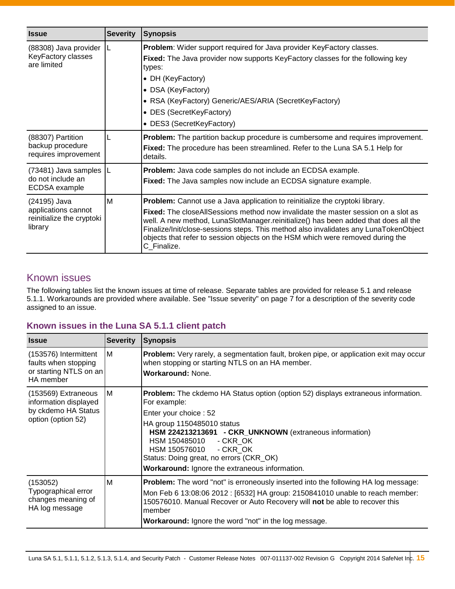| <b>Issue</b>                                                                | <b>Severity</b> | <b>Synopsis</b>                                                                                                                                                                                                                                                                                                                                                                                                                                                 |
|-----------------------------------------------------------------------------|-----------------|-----------------------------------------------------------------------------------------------------------------------------------------------------------------------------------------------------------------------------------------------------------------------------------------------------------------------------------------------------------------------------------------------------------------------------------------------------------------|
| (88308) Java provider<br>KeyFactory classes<br>are limited                  |                 | Problem: Wider support required for Java provider KeyFactory classes.<br>Fixed: The Java provider now supports KeyFactory classes for the following key<br>types:<br>• DH (KeyFactory)<br>• DSA (KeyFactory)<br>• RSA (KeyFactory) Generic/AES/ARIA (SecretKeyFactory)<br>• DES (SecretKeyFactory)<br>• DES3 (SecretKeyFactory)                                                                                                                                 |
| (88307) Partition<br>backup procedure<br>requires improvement               |                 | <b>Problem:</b> The partition backup procedure is cumbersome and requires improvement.<br><b>Fixed:</b> The procedure has been streamlined. Refer to the Luna SA 5.1 Help for<br>details.                                                                                                                                                                                                                                                                       |
| (73481) Java samples<br>do not include an<br>ECDSA example                  |                 | Problem: Java code samples do not include an ECDSA example.<br><b>Fixed:</b> The Java samples now include an ECDSA signature example.                                                                                                                                                                                                                                                                                                                           |
| (24195) Java<br>applications cannot<br>reinitialize the cryptoki<br>library | M               | <b>Problem:</b> Cannot use a Java application to reinitialize the cryptoki library.<br><b>Fixed:</b> The closeAllSessions method now invalidate the master session on a slot as<br>well. A new method, LunaSlotManager.reinitialize() has been added that does all the<br>Finalize/Init/close-sessions steps. This method also invalidates any LunaTokenObject<br>objects that refer to session objects on the HSM which were removed during the<br>C Finalize. |

## <span id="page-14-0"></span>Known issues

The following tables list the known issues at time of release. Separate tables are provided for release 5.1 and release 5.1.1. Workarounds are provided where available. See ["Issue severity"](#page-6-1) on page [7](#page-6-1) for a description of the severity code assigned to an issue.

#### **Known issues in the Luna SA 5.1.1 client patch**

| <b>Issue</b>                                                                         | <b>Severity</b> | <b>Synopsis</b>                                                                                                                                                                                                                           |
|--------------------------------------------------------------------------------------|-----------------|-------------------------------------------------------------------------------------------------------------------------------------------------------------------------------------------------------------------------------------------|
| (153576) Intermittent<br>faults when stopping<br>or starting NTLS on an<br>HA member | M               | <b>Problem:</b> Very rarely, a segmentation fault, broken pipe, or application exit may occur<br>when stopping or starting NTLS on an HA member.<br><b>Workaround: None.</b>                                                              |
| (153569) Extraneous<br>information displayed                                         | M               | <b>Problem:</b> The ckdemo HA Status option (option 52) displays extraneous information.<br>For example:                                                                                                                                  |
| by ckdemo HA Status                                                                  |                 | Enter your choice: 52                                                                                                                                                                                                                     |
| option (option 52)                                                                   |                 | HA group 1150485010 status<br>HSM 224213213691 - CKR_UNKNOWN (extraneous information)<br>HSM 150485010 - CKR OK<br>HSM 150576010<br>- CKR OK<br>Status: Doing great, no errors (CKR_OK)<br>Workaround: Ignore the extraneous information. |
| (153052)                                                                             | M               | <b>Problem:</b> The word "not" is erroneously inserted into the following HA log message:                                                                                                                                                 |
| Typographical error<br>changes meaning of<br>HA log message                          |                 | Mon Feb 6 13:08:06 2012 : [6532] HA group: 2150841010 unable to reach member:<br>150576010. Manual Recover or Auto Recovery will not be able to recover this<br>member                                                                    |
|                                                                                      |                 | Workaround: Ignore the word "not" in the log message.                                                                                                                                                                                     |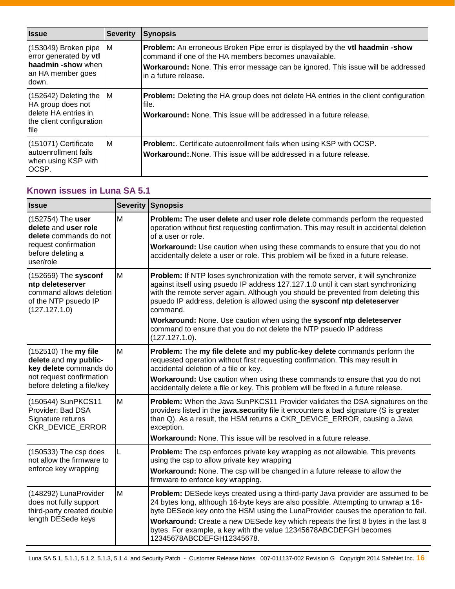| <b>Issue</b>                                                                                           | <b>Severity</b> | <b>Synopsis</b>                                                                                                                                                                                                                                                    |
|--------------------------------------------------------------------------------------------------------|-----------------|--------------------------------------------------------------------------------------------------------------------------------------------------------------------------------------------------------------------------------------------------------------------|
| (153049) Broken pipe<br>error generated by vtl<br>haadmin -show when<br>an HA member goes<br>down.     | M               | <b>Problem:</b> An erroneous Broken Pipe error is displayed by the vtl haadmin -show<br>command if one of the HA members becomes unavailable.<br><b>Workaround:</b> None. This error message can be ignored. This issue will be addressed<br>lin a future release. |
| (152642) Deleting the<br>HA group does not<br>delete HA entries in<br>the client configuration<br>file | ΙM              | <b>Problem:</b> Deleting the HA group does not delete HA entries in the client configuration<br>file.<br><b>Workaround:</b> None. This issue will be addressed in a future release.                                                                                |
| (151071) Certificate<br>autoenrollment fails<br>when using KSP with<br>OCSP.                           | ΙM              | <b>Problem:</b> Certificate autoenrollment fails when using KSP with OCSP.<br>Workaround: None. This issue will be addressed in a future release.                                                                                                                  |

## **Known issues in Luna SA 5.1**

| <b>Issue</b>                                                                                                                      |   | <b>Severity Synopsis</b>                                                                                                                                                                                                                                                                                                                                                                                                                                                                                                |  |
|-----------------------------------------------------------------------------------------------------------------------------------|---|-------------------------------------------------------------------------------------------------------------------------------------------------------------------------------------------------------------------------------------------------------------------------------------------------------------------------------------------------------------------------------------------------------------------------------------------------------------------------------------------------------------------------|--|
| (152754) The user<br>delete and user role<br>delete commands do not<br>request confirmation<br>before deleting a<br>user/role     | M | Problem: The user delete and user role delete commands perform the requested<br>operation without first requesting confirmation. This may result in accidental deletion<br>of a user or role.<br>Workaround: Use caution when using these commands to ensure that you do not<br>accidentally delete a user or role. This problem will be fixed in a future release.                                                                                                                                                     |  |
| $(152659)$ The sysconf<br>ntp deleteserver<br>command allows deletion<br>of the NTP psuedo IP<br>(127.127.1.0)                    | M | Problem: If NTP loses synchronization with the remote server, it will synchronize<br>against itself using psuedo IP address 127.127.1.0 until it can start synchronizing<br>with the remote server again. Although you should be prevented from deleting this<br>psuedo IP address, deletion is allowed using the sysconf ntp deleteserver<br>command.<br>Workaround: None. Use caution when using the sysconf ntp deleteserver<br>command to ensure that you do not delete the NTP psuedo IP address<br>(127.127.1.0). |  |
| (152510) The my file<br>delete and my public-<br>key delete commands do<br>not request confirmation<br>before deleting a file/key | M | Problem: The my file delete and my public-key delete commands perform the<br>requested operation without first requesting confirmation. This may result in<br>accidental deletion of a file or key.<br>Workaround: Use caution when using these commands to ensure that you do not<br>accidentally delete a file or key. This problem will be fixed in a future release.                                                                                                                                                |  |
| (150544) SunPKCS11<br>Provider: Bad DSA<br>Signature returns<br>CKR_DEVICE_ERROR                                                  | M | Problem: When the Java SunPKCS11 Provider validates the DSA signatures on the<br>providers listed in the <b>java.security</b> file it encounters a bad signature (S is greater<br>than Q). As a result, the HSM returns a CKR_DEVICE_ERROR, causing a Java<br>exception.<br>Workaround: None. This issue will be resolved in a future release.                                                                                                                                                                          |  |
| $(150533)$ The csp does<br>not allow the firmware to<br>enforce key wrapping                                                      | L | Problem: The csp enforces private key wrapping as not allowable. This prevents<br>using the csp to allow private key wrapping<br>Workaround: None. The csp will be changed in a future release to allow the<br>firmware to enforce key wrapping.                                                                                                                                                                                                                                                                        |  |
| (148292) LunaProvider<br>does not fully support<br>third-party created double<br>length DESede keys                               | M | Problem: DESede keys created using a third-party Java provider are assumed to be<br>24 bytes long, although 16-byte keys are also possible. Attempting to unwrap a 16-<br>byte DESede key onto the HSM using the LunaProvider causes the operation to fail.<br>Workaround: Create a new DESede key which repeats the first 8 bytes in the last 8<br>bytes. For example, a key with the value 12345678ABCDEFGH becomes<br>12345678ABCDEFGH12345678.                                                                      |  |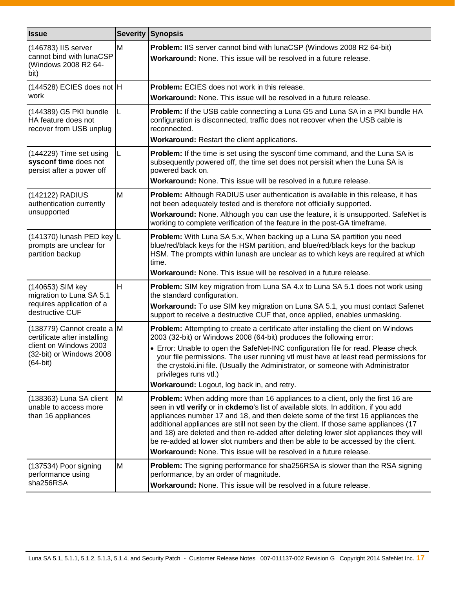| <b>Issue</b>                                                                                                                   |   | <b>Severity Synopsis</b>                                                                                                                                                                                                                                                                                                                                                                                                                                                                                                                                                                                   |  |
|--------------------------------------------------------------------------------------------------------------------------------|---|------------------------------------------------------------------------------------------------------------------------------------------------------------------------------------------------------------------------------------------------------------------------------------------------------------------------------------------------------------------------------------------------------------------------------------------------------------------------------------------------------------------------------------------------------------------------------------------------------------|--|
| (146783) IIS server<br>cannot bind with lunaCSP<br>(Windows 2008 R2 64-<br>bit)                                                | M | <b>Problem: IIS server cannot bind with lunaCSP (Windows 2008 R2 64-bit)</b><br>Workaround: None. This issue will be resolved in a future release.                                                                                                                                                                                                                                                                                                                                                                                                                                                         |  |
| $(144528)$ ECIES does not  H<br>work                                                                                           |   | <b>Problem:</b> ECIES does not work in this release.<br><b>Workaround:</b> None. This issue will be resolved in a future release.                                                                                                                                                                                                                                                                                                                                                                                                                                                                          |  |
| (144389) G5 PKI bundle<br>HA feature does not<br>recover from USB unplug                                                       | L | Problem: If the USB cable connecting a Luna G5 and Luna SA in a PKI bundle HA<br>configuration is disconnected, traffic does not recover when the USB cable is<br>reconnected.<br>Workaround: Restart the client applications.                                                                                                                                                                                                                                                                                                                                                                             |  |
| (144229) Time set using<br>sysconf time does not<br>persist after a power off                                                  | L | <b>Problem:</b> If the time is set using the sysconf time command, and the Luna SA is<br>subsequently powered off, the time set does not persisit when the Luna SA is<br>powered back on.<br>Workaround: None. This issue will be resolved in a future release.                                                                                                                                                                                                                                                                                                                                            |  |
| (142122) RADIUS<br>authentication currently<br>unsupported                                                                     | M | Problem: Although RADIUS user authentication is available in this release, it has<br>not been adequately tested and is therefore not officially supported.<br>Workaround: None. Although you can use the feature, it is unsupported. SafeNet is<br>working to complete verification of the feature in the post-GA timeframe.                                                                                                                                                                                                                                                                               |  |
| $(141370)$ lunash PED key L<br>prompts are unclear for<br>partition backup                                                     |   | <b>Problem:</b> With Luna SA 5.x, When backing up a Luna SA partition you need<br>blue/red/black keys for the HSM partition, and blue/red/black keys for the backup<br>HSM. The prompts within lunash are unclear as to which keys are required at which<br>time.<br>Workaround: None. This issue will be resolved in a future release.                                                                                                                                                                                                                                                                    |  |
| (140653) SIM key<br>migration to Luna SA 5.1<br>requires application of a<br>destructive CUF                                   | H | <b>Problem:</b> SIM key migration from Luna SA 4.x to Luna SA 5.1 does not work using<br>the standard configuration.<br>Workaround: To use SIM key migration on Luna SA 5.1, you must contact Safenet<br>support to receive a destructive CUF that, once applied, enables unmasking.                                                                                                                                                                                                                                                                                                                       |  |
| (138779) Cannot create a M<br>certificate after installing<br>client on Windows 2003<br>(32-bit) or Windows 2008<br>$(64-bit)$ |   | Problem: Attempting to create a certificate after installing the client on Windows<br>2003 (32-bit) or Windows 2008 (64-bit) produces the following error:<br>• Error: Unable to open the SafeNet-INC configuration file for read. Please check<br>your file permissions. The user running vtl must have at least read permissions for<br>the crystoki.ini file. (Usually the Administrator, or someone with Administrator<br>privileges runs vtl.)<br>Workaround: Logout, log back in, and retry.                                                                                                         |  |
| (138363) Luna SA client<br>unable to access more<br>than 16 appliances                                                         | M | <b>Problem:</b> When adding more than 16 appliances to a client, only the first 16 are<br>seen in vtl verify or in ckdemo's list of available slots. In addition, if you add<br>appliances number 17 and 18, and then delete some of the first 16 appliances the<br>additional appliances are still not seen by the client. If those same appliances (17<br>and 18) are deleted and then re-added after deleting lower slot appliances they will<br>be re-added at lower slot numbers and then be able to be accessed by the client.<br>Workaround: None. This issue will be resolved in a future release. |  |
| (137534) Poor signing<br>performance using<br>sha256RSA                                                                        | M | <b>Problem:</b> The signing performance for sha256RSA is slower than the RSA signing<br>performance, by an order of magnitude.<br>Workaround: None. This issue will be resolved in a future release.                                                                                                                                                                                                                                                                                                                                                                                                       |  |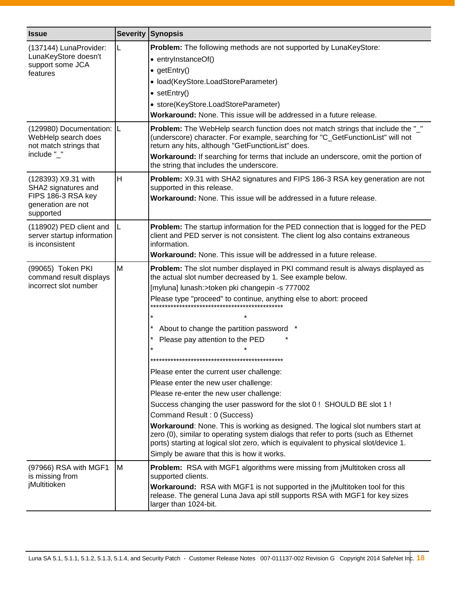| <b>Issue</b>                                                                                        |   | Severity Synopsis                                                                                                                                                                                                                                                                                                                                                                                                                                                                                                                                                                                                                                                                                                                                                                                                                                            |  |
|-----------------------------------------------------------------------------------------------------|---|--------------------------------------------------------------------------------------------------------------------------------------------------------------------------------------------------------------------------------------------------------------------------------------------------------------------------------------------------------------------------------------------------------------------------------------------------------------------------------------------------------------------------------------------------------------------------------------------------------------------------------------------------------------------------------------------------------------------------------------------------------------------------------------------------------------------------------------------------------------|--|
| (137144) LunaProvider:<br>LunaKeyStore doesn't<br>support some JCA<br>features                      | L | <b>Problem:</b> The following methods are not supported by LunaKeyStore:<br>• entryInstanceOf()<br>$\bullet$ getEntry()<br>• load(KeyStore.LoadStoreParameter)<br>$\bullet$ setEntry()<br>• store(KeyStore.LoadStoreParameter)<br>Workaround: None. This issue will be addressed in a future release.                                                                                                                                                                                                                                                                                                                                                                                                                                                                                                                                                        |  |
| (129980) Documentation:  L<br>WebHelp search does<br>not match strings that<br>include "_"          |   | <b>Problem:</b> The WebHelp search function does not match strings that include the "_'<br>(underscore) character. For example, searching for "C_GetFunctionList" will not<br>return any hits, although "GetFunctionList" does.<br>Workaround: If searching for terms that include an underscore, omit the portion of<br>the string that includes the underscore.                                                                                                                                                                                                                                                                                                                                                                                                                                                                                            |  |
| (128393) X9.31 with<br>SHA2 signatures and<br>FIPS 186-3 RSA key<br>generation are not<br>supported | H | Problem: X9.31 with SHA2 signatures and FIPS 186-3 RSA key generation are not<br>supported in this release.<br>Workaround: None. This issue will be addressed in a future release.                                                                                                                                                                                                                                                                                                                                                                                                                                                                                                                                                                                                                                                                           |  |
| (118902) PED client and<br>server startup information<br>is inconsistent                            | L | <b>Problem:</b> The startup information for the PED connection that is logged for the PED<br>client and PED server is not consistent. The client log also contains extraneous<br>information.<br><b>Workaround:</b> None. This issue will be addressed in a future release.                                                                                                                                                                                                                                                                                                                                                                                                                                                                                                                                                                                  |  |
| (99065) Token PKI<br>command result displays<br>incorrect slot number                               | M | Problem: The slot number displayed in PKI command result is always displayed as<br>the actual slot number decreased by 1. See example below.<br>[myluna] lunash:>token pki changepin -s 777002<br>Please type "proceed" to continue, anything else to abort: proceed<br>About to change the partition password *<br>Please pay attention to the PED<br>Please enter the current user challenge:<br>Please enter the new user challenge:<br>Please re-enter the new user challenge:<br>Success changing the user password for the slot 0! SHOULD BE slot 1!<br>Command Result: 0 (Success)<br>Workaround: None. This is working as designed. The logical slot numbers start at<br>zero (0), similar to operating system dialogs that refer to ports (such as Ethernet<br>ports) starting at logical slot zero, which is equivalent to physical slot/device 1. |  |
| (97966) RSA with MGF1<br>is missing from<br>jMultitioken                                            | M | Simply be aware that this is how it works.<br>Problem: RSA with MGF1 algorithms were missing from jMultitoken cross all<br>supported clients.<br>Workaround: RSA with MGF1 is not supported in the jMultitoken tool for this<br>release. The general Luna Java api still supports RSA with MGF1 for key sizes<br>larger than 1024-bit.                                                                                                                                                                                                                                                                                                                                                                                                                                                                                                                       |  |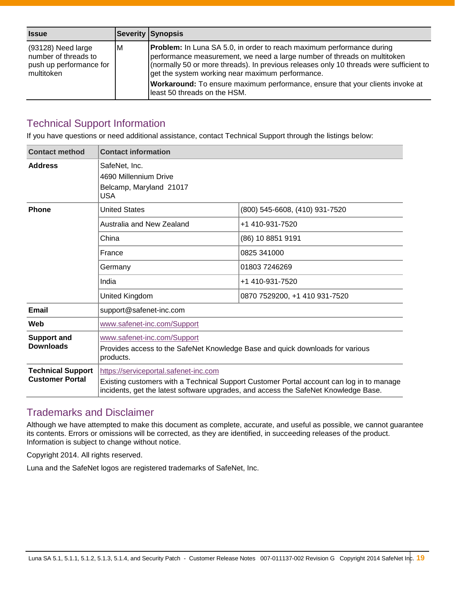| <b>Issue</b>                                                                          |    | <b>Severity Synopsis</b>                                                                                                                                                                                                                                                                               |
|---------------------------------------------------------------------------------------|----|--------------------------------------------------------------------------------------------------------------------------------------------------------------------------------------------------------------------------------------------------------------------------------------------------------|
| $(93128)$ Need large<br>number of threads to<br>push up performance for<br>multitoken | ΙM | <b>Problem:</b> In Luna SA 5.0, in order to reach maximum performance during<br>performance measurement, we need a large number of threads on multitoken<br>(normally 50 or more threads). In previous releases only 10 threads were sufficient to<br>get the system working near maximum performance. |
|                                                                                       |    | <b>Workaround:</b> To ensure maximum performance, ensure that your clients invoke at<br>least 50 threads on the HSM.                                                                                                                                                                                   |

## <span id="page-18-0"></span>Technical Support Information

If you have questions or need additional assistance, contact Technical Support through the listings below:

| <b>Contact method</b>                              | <b>Contact information</b>                                                                                                                                                                                               |                                |  |  |
|----------------------------------------------------|--------------------------------------------------------------------------------------------------------------------------------------------------------------------------------------------------------------------------|--------------------------------|--|--|
| <b>Address</b>                                     | SafeNet, Inc.<br>4690 Millennium Drive<br>Belcamp, Maryland 21017<br><b>USA</b>                                                                                                                                          |                                |  |  |
| <b>Phone</b>                                       | <b>United States</b>                                                                                                                                                                                                     | (800) 545-6608, (410) 931-7520 |  |  |
|                                                    | Australia and New Zealand                                                                                                                                                                                                | +1 410-931-7520                |  |  |
|                                                    | China                                                                                                                                                                                                                    | (86) 10 8851 9191              |  |  |
|                                                    | France                                                                                                                                                                                                                   | 0825 341000                    |  |  |
|                                                    | Germany                                                                                                                                                                                                                  | 01803 7246269                  |  |  |
|                                                    | India                                                                                                                                                                                                                    | +1 410-931-7520                |  |  |
|                                                    | United Kingdom                                                                                                                                                                                                           | 0870 7529200, +1 410 931-7520  |  |  |
| Email                                              | support@safenet-inc.com                                                                                                                                                                                                  |                                |  |  |
| Web                                                | www.safenet-inc.com/Support                                                                                                                                                                                              |                                |  |  |
| <b>Support and</b><br><b>Downloads</b>             | www.safenet-inc.com/Support<br>Provides access to the SafeNet Knowledge Base and quick downloads for various<br>products.                                                                                                |                                |  |  |
| <b>Technical Support</b><br><b>Customer Portal</b> | https://serviceportal.safenet-inc.com<br>Existing customers with a Technical Support Customer Portal account can log in to manage<br>incidents, get the latest software upgrades, and access the SafeNet Knowledge Base. |                                |  |  |

## <span id="page-18-1"></span>Trademarks and Disclaimer

Although we have attempted to make this document as complete, accurate, and useful as possible, we cannot guarantee its contents. Errors or omissions will be corrected, as they are identified, in succeeding releases of the product. Information is subject to change without notice.

Copyright 2014. All rights reserved.

Luna and the SafeNet logos are registered trademarks of SafeNet, Inc.